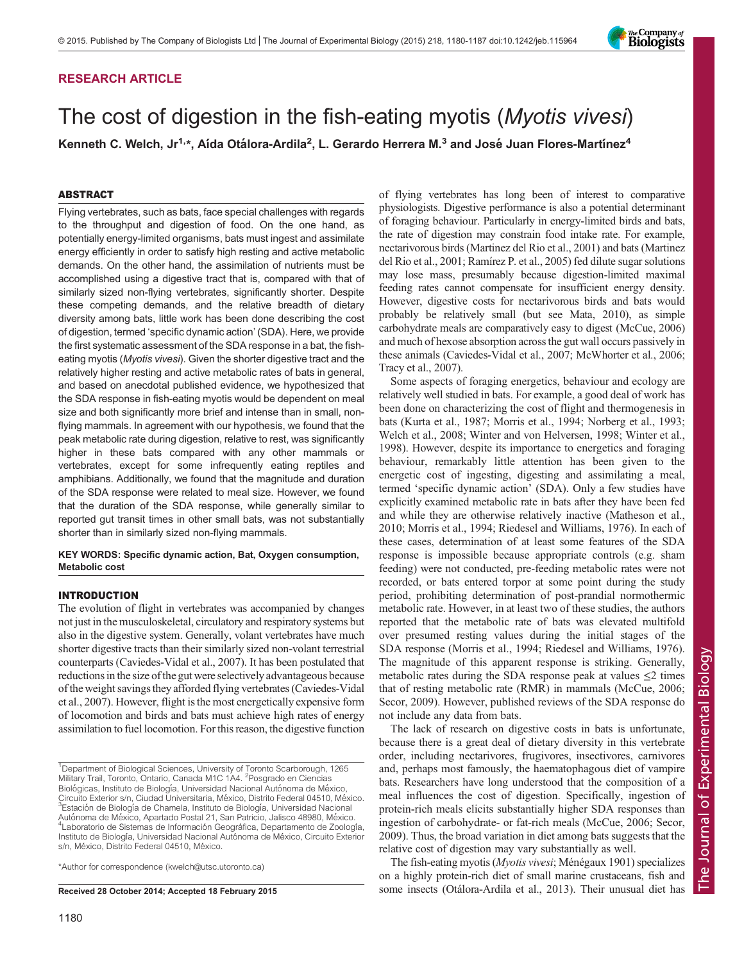

# The cost of digestion in the fish-eating myotis (Myotis vivesi)

Kenneth C. Welch, Jr<sup>1,\*</sup>, Aída Otálora-Ardila<sup>2</sup>, L. Gerardo Herrera M.<sup>3</sup> and José Juan Flores-Martínez<sup>4</sup>

#### ABSTRACT

Flying vertebrates, such as bats, face special challenges with regards to the throughput and digestion of food. On the one hand, as potentially energy-limited organisms, bats must ingest and assimilate energy efficiently in order to satisfy high resting and active metabolic demands. On the other hand, the assimilation of nutrients must be accomplished using a digestive tract that is, compared with that of similarly sized non-flying vertebrates, significantly shorter. Despite these competing demands, and the relative breadth of dietary diversity among bats, little work has been done describing the cost of digestion, termed 'specific dynamic action' (SDA). Here, we provide the first systematic assessment of the SDA response in a bat, the fisheating myotis (Myotis vivesi). Given the shorter digestive tract and the relatively higher resting and active metabolic rates of bats in general, and based on anecdotal published evidence, we hypothesized that the SDA response in fish-eating myotis would be dependent on meal size and both significantly more brief and intense than in small, nonflying mammals. In agreement with our hypothesis, we found that the peak metabolic rate during digestion, relative to rest, was significantly higher in these bats compared with any other mammals or vertebrates, except for some infrequently eating reptiles and amphibians. Additionally, we found that the magnitude and duration of the SDA response were related to meal size. However, we found that the duration of the SDA response, while generally similar to reported gut transit times in other small bats, was not substantially shorter than in similarly sized non-flying mammals.

#### KEY WORDS: Specific dynamic action, Bat, Oxygen consumption, Metabolic cost

#### INTRODUCTION

The evolution of flight in vertebrates was accompanied by changes not just in the musculoskeletal, circulatory and respiratory systems but also in the digestive system. Generally, volant vertebrates have much shorter digestive tracts than their similarly sized non-volant terrestrial counterparts [\(Caviedes-Vidal et al., 2007](#page-6-0)). It has been postulated that reductions in the size of the gut were selectively advantageous because of the weight savings they afforded flying vertebrates ([Caviedes-Vidal](#page-6-0) [et al., 2007](#page-6-0)). However, flight is the most energetically expensive form of locomotion and birds and bats must achieve high rates of energy assimilation to fuel locomotion. For this reason, the digestive function

\*Author for correspondence (kwelch@utsc.utoronto.ca)

of flying vertebrates has long been of interest to comparative physiologists. Digestive performance is also a potential determinant of foraging behaviour. Particularly in energy-limited birds and bats, the rate of digestion may constrain food intake rate. For example, nectarivorous birds ([Martinez del Rio et al., 2001\)](#page-6-0) and bats ([Martinez](#page-6-0) [del Rio et al., 2001; Ramírez P. et al., 2005](#page-6-0)) fed dilute sugar solutions may lose mass, presumably because digestion-limited maximal feeding rates cannot compensate for insufficient energy density. However, digestive costs for nectarivorous birds and bats would probably be relatively small (but see [Mata, 2010\)](#page-6-0), as simple carbohydrate meals are comparatively easy to digest [\(McCue, 2006\)](#page-6-0) and much of hexose absorption across the gut wall occurs passively in these animals ([Caviedes-Vidal et al., 2007](#page-6-0); [McWhorter et al., 2006](#page-6-0); [Tracy et al., 2007](#page-7-0)).

The Company of<br>**Biologists** 

Some aspects of foraging energetics, behaviour and ecology are relatively well studied in bats. For example, a good deal of work has been done on characterizing the cost of flight and thermogenesis in bats [\(Kurta et al., 1987; Morris et al., 1994](#page-6-0); [Norberg et al., 1993](#page-6-0); [Welch et al., 2008](#page-7-0); [Winter and von Helversen, 1998; Winter et al.,](#page-7-0) [1998\)](#page-7-0). However, despite its importance to energetics and foraging behaviour, remarkably little attention has been given to the energetic cost of ingesting, digesting and assimilating a meal, termed 'specific dynamic action' (SDA). Only a few studies have explicitly examined metabolic rate in bats after they have been fed and while they are otherwise relatively inactive ([Matheson et al.,](#page-6-0) [2010; Morris et al., 1994; Riedesel and Williams, 1976\)](#page-6-0). In each of these cases, determination of at least some features of the SDA response is impossible because appropriate controls (e.g. sham feeding) were not conducted, pre-feeding metabolic rates were not recorded, or bats entered torpor at some point during the study period, prohibiting determination of post-prandial normothermic metabolic rate. However, in at least two of these studies, the authors reported that the metabolic rate of bats was elevated multifold over presumed resting values during the initial stages of the SDA response [\(Morris et al., 1994](#page-6-0); [Riedesel and Williams, 1976\)](#page-6-0). The magnitude of this apparent response is striking. Generally, metabolic rates during the SDA response peak at values  $\leq 2$  times that of resting metabolic rate (RMR) in mammals ([McCue, 2006](#page-6-0); [Secor, 2009](#page-6-0)). However, published reviews of the SDA response do not include any data from bats.

The lack of research on digestive costs in bats is unfortunate, because there is a great deal of dietary diversity in this vertebrate order, including nectarivores, frugivores, insectivores, carnivores and, perhaps most famously, the haematophagous diet of vampire bats. Researchers have long understood that the composition of a meal influences the cost of digestion. Specifically, ingestion of protein-rich meals elicits substantially higher SDA responses than ingestion of carbohydrate- or fat-rich meals ([McCue, 2006; Secor,](#page-6-0) [2009\)](#page-6-0). Thus, the broad variation in diet among bats suggests that the relative cost of digestion may vary substantially as well.

The fish-eating myotis (Myotis vivesi; Ménégaux 1901) specializes on a highly protein-rich diet of small marine crustaceans, fish and Received 28 October 2014; Accepted 18 February 2015 some insects [\(Otálora-Ardila et al., 2013\)](#page-6-0). Their unusual diet has

<sup>&</sup>lt;sup>1</sup>Department of Biological Sciences, University of Toronto Scarborough, 1265 Military Trail, Toronto, Ontario, Canada M1C 1A4. <sup>2</sup> Posgrado en Ciencias Biológicas, Instituto de Biología, Universidad Nacional Autónoma de México, Circuito Exterior s/n, Ciudad Universitaria, México, Distrito Federal 04510, México.  ${}^{3}$ Estación de Biología de Chamela, Instituto de Biología, Universidad Nacional Autónoma de México, Apartado Postal 21, San Patricio, Jalisco 48980, México. <sup>4</sup>Laboratorio de Sistemas de Información Geográfica, Departamento de Zoología, Instituto de Biología, Universidad Nacional Autónoma de México, Circuito Exterior s/n, México, Distrito Federal 04510, México.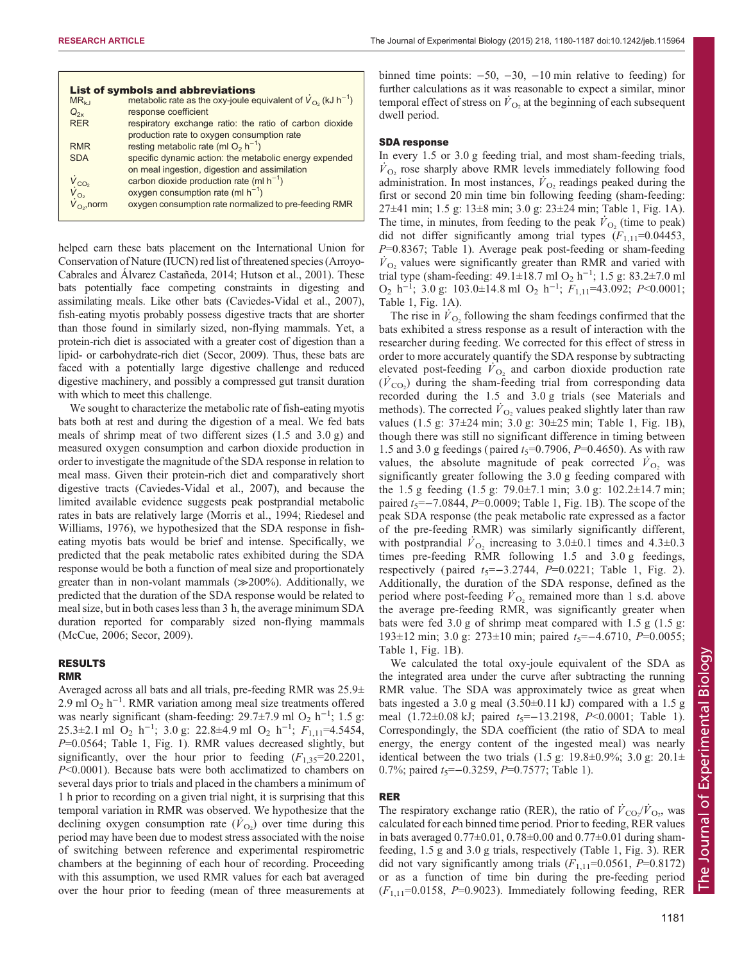|                         | <b>List of symbols and abbreviations</b>                                            |
|-------------------------|-------------------------------------------------------------------------------------|
| $MR_{k1}$               | metabolic rate as the oxy-joule equivalent of $\dot{V}_{O_2}$ (kJ h <sup>-1</sup> ) |
| $Q_{2x}$                | response coefficient                                                                |
| <b>RER</b>              | respiratory exchange ratio: the ratio of carbon dioxide                             |
|                         | production rate to oxygen consumption rate                                          |
| <b>RMR</b>              | resting metabolic rate (ml $O_2$ h <sup>-1</sup> )                                  |
| <b>SDA</b>              | specific dynamic action: the metabolic energy expended                              |
|                         | on meal ingestion, digestion and assimilation                                       |
|                         | carbon dioxide production rate (ml $h^{-1}$ )                                       |
| $V_{CO_2}$<br>$V_{O_2}$ | oxygen consumption rate (ml $h^{-1}$ )                                              |
|                         | oxygen consumption rate normalized to pre-feeding RMR                               |
|                         |                                                                                     |

helped earn these bats placement on the International Union for Conservation of Nature (IUCN) red list of threatened species ([Arroyo-](#page-6-0)[Cabrales and Álvarez Castañeda, 2014](#page-6-0); [Hutson et al., 2001\)](#page-6-0). These bats potentially face competing constraints in digesting and assimilating meals. Like other bats [\(Caviedes-Vidal et al., 2007\)](#page-6-0), fish-eating myotis probably possess digestive tracts that are shorter than those found in similarly sized, non-flying mammals. Yet, a protein-rich diet is associated with a greater cost of digestion than a lipid- or carbohydrate-rich diet ([Secor, 2009\)](#page-6-0). Thus, these bats are faced with a potentially large digestive challenge and reduced digestive machinery, and possibly a compressed gut transit duration with which to meet this challenge.

We sought to characterize the metabolic rate of fish-eating myotis bats both at rest and during the digestion of a meal. We fed bats meals of shrimp meat of two different sizes (1.5 and 3.0 g) and measured oxygen consumption and carbon dioxide production in order to investigate the magnitude of the SDA response in relation to meal mass. Given their protein-rich diet and comparatively short digestive tracts [\(Caviedes-Vidal et al., 2007\)](#page-6-0), and because the limited available evidence suggests peak postprandial metabolic rates in bats are relatively large [\(Morris et al., 1994](#page-6-0); [Riedesel and](#page-6-0) [Williams, 1976\)](#page-6-0), we hypothesized that the SDA response in fisheating myotis bats would be brief and intense. Specifically, we predicted that the peak metabolic rates exhibited during the SDA response would be both a function of meal size and proportionately greater than in non-volant mammals (≫200%). Additionally, we predicted that the duration of the SDA response would be related to meal size, but in both cases less than 3 h, the average minimum SDA duration reported for comparably sized non-flying mammals [\(McCue, 2006; Secor, 2009\)](#page-6-0).

# RESULTS

#### RMR

Averaged across all bats and all trials, pre-feeding RMR was 25.9± 2.9 ml O<sub>2</sub> h<sup>-1</sup>. RMR variation among meal size treatments offered was nearly significant (sham-feeding: 29.7 $\pm$ 7.9 ml O<sub>2</sub> h<sup>-1</sup>; 1.5 g: 25.3±2.1 ml O<sub>2</sub> h<sup>-1</sup>; 3.0 g: 22.8±4.9 ml O<sub>2</sub> h<sup>-1</sup>;  $F_{1,11}$ =4.5454, P=0.0564; [Table 1](#page-2-0), [Fig. 1](#page-2-0)). RMR values decreased slightly, but significantly, over the hour prior to feeding  $(F_{1,35}=20.2201)$ , P<0.0001). Because bats were both acclimatized to chambers on several days prior to trials and placed in the chambers a minimum of 1 h prior to recording on a given trial night, it is surprising that this temporal variation in RMR was observed. We hypothesize that the declining oxygen consumption rate  $(\dot{V}_{O_2})$  over time during this period may have been due to modest stress associated with the noise of switching between reference and experimental respirometric chambers at the beginning of each hour of recording. Proceeding with this assumption, we used RMR values for each bat averaged over the hour prior to feeding (mean of three measurements at

binned time points:  $-50$ ,  $-30$ ,  $-10$  min relative to feeding) for further calculations as it was reasonable to expect a similar, minor temporal effect of stress on  $\dot{V}_{\Omega_2}$  at the beginning of each subsequent dwell period.

#### SDA response

In every 1.5 or 3.0 g feeding trial, and most sham-feeding trials,  $V_{\Omega_2}$  rose sharply above RMR levels immediately following food administration. In most instances,  $\dot{V}_{\Omega}$  readings peaked during the first or second 20 min time bin following feeding (sham-feeding: 27±41 min; 1.5 g: 13±8 min; 3.0 g: 23±24 min; [Table 1](#page-2-0), [Fig. 1A](#page-2-0)). The time, in minutes, from feeding to the peak  $\dot{V}_{\text{O}_2}$  (time to peak) did not differ significantly among trial types  $(F_{1,11}=0.04453)$ ,  $P=0.8367$ ; [Table 1](#page-2-0)). Average peak post-feeding or sham-feeding  $\dot{V}_{\text{O}_2}$  values were significantly greater than RMR and varied with trial type (sham-feeding: 49.1±18.7 ml O<sub>2</sub> h<sup>-1</sup>; 1.5 g: 83.2±7.0 ml  $O_2$  h<sup>-1</sup>; 3.0 g: 103.0±14.8 ml  $O_2$  h<sup>-1</sup>;  $F_{1,11}$ =43.092; P<0.0001; [Table 1, Fig. 1](#page-2-0)A).

The rise in  $V<sub>O</sub>$ , following the sham feedings confirmed that the bats exhibited a stress response as a result of interaction with the researcher during feeding. We corrected for this effect of stress in order to more accurately quantify the SDA response by subtracting elevated post-feeding  $\dot{V}_{\text{O}_2}$  and carbon dioxide production rate  $(\dot{V}_{\text{CO}_2})$  during the sham-feeding trial from corresponding data recorded during the 1.5 and 3.0 g trials (see Materials and methods). The corrected  $V_{\text{O}_2}$  values peaked slightly later than raw values (1.5 g: 37±24 min; 3.0 g: 30±25 min; [Table 1](#page-2-0), [Fig. 1](#page-2-0)B), though there was still no significant difference in timing between 1.5 and 3.0 g feedings (paired  $t_5 = 0.7906$ ,  $P = 0.4650$ ). As with raw values, the absolute magnitude of peak corrected  $V_{\text{O}_2}$  was significantly greater following the 3.0 g feeding compared with the 1.5 g feeding (1.5 g: 79.0±7.1 min; 3.0 g: 102.2±14.7 min; paired  $t_5 = -7.0844$ ,  $P=0.0009$ ; [Table 1](#page-2-0), [Fig. 1](#page-2-0)B). The scope of the peak SDA response (the peak metabolic rate expressed as a factor of the pre-feeding RMR) was similarly significantly different, with postprandial  $\dot{V}_{\text{O}_2}$  increasing to 3.0±0.1 times and 4.3±0.3 times pre-feeding RMR following 1.5 and 3.0 g feedings, respectively (paired  $t_5 = -3.2744$ ,  $P = 0.0221$ ; [Table 1,](#page-2-0) [Fig. 2](#page-3-0)). Additionally, the duration of the SDA response, defined as the period where post-feeding  $\dot{V}_{\text{O}_2}$  remained more than 1 s.d. above the average pre-feeding RMR, was significantly greater when bats were fed 3.0 g of shrimp meat compared with 1.5 g (1.5 g: 193±12 min; 3.0 g: 273±10 min; paired  $t_5$ =−4.6710, P=0.0055; [Table 1](#page-2-0), [Fig. 1B](#page-2-0)).

We calculated the total oxy-joule equivalent of the SDA as the integrated area under the curve after subtracting the running RMR value. The SDA was approximately twice as great when bats ingested a 3.0 g meal  $(3.50\pm0.11 \text{ kJ})$  compared with a 1.5 g meal  $(1.72\pm0.08 \text{ kJ})$ ; paired  $t_5=-13.2198$ , P<0.0001; [Table 1\)](#page-2-0). Correspondingly, the SDA coefficient (the ratio of SDA to meal energy, the energy content of the ingested meal) was nearly identical between the two trials  $(1.5 \text{ g}$ : 19.8 $\pm$ 0.9%; 3.0 g: 20.1 $\pm$ 0.7%; paired  $t_5$ =−0.3259, P=0.7577; [Table 1](#page-2-0)).

## RER

The respiratory exchange ratio (RER), the ratio of  $\dot{V}_{\text{CO}_2}/\dot{V}_{\text{O}_2}$ , was calculated for each binned time period. Prior to feeding, RER values in bats averaged  $0.77\pm0.01$ ,  $0.78\pm0.00$  and  $0.77\pm0.01$  during shamfeeding, 1.5 g and 3.0 g trials, respectively ([Table 1](#page-2-0), [Fig. 3](#page-3-0)). RER did not vary significantly among trials  $(F_{1,11}=0.0561, P=0.8172)$ or as a function of time bin during the pre-feeding period  $(F_{1,11}=0.0158, P=0.9023)$ . Immediately following feeding, RER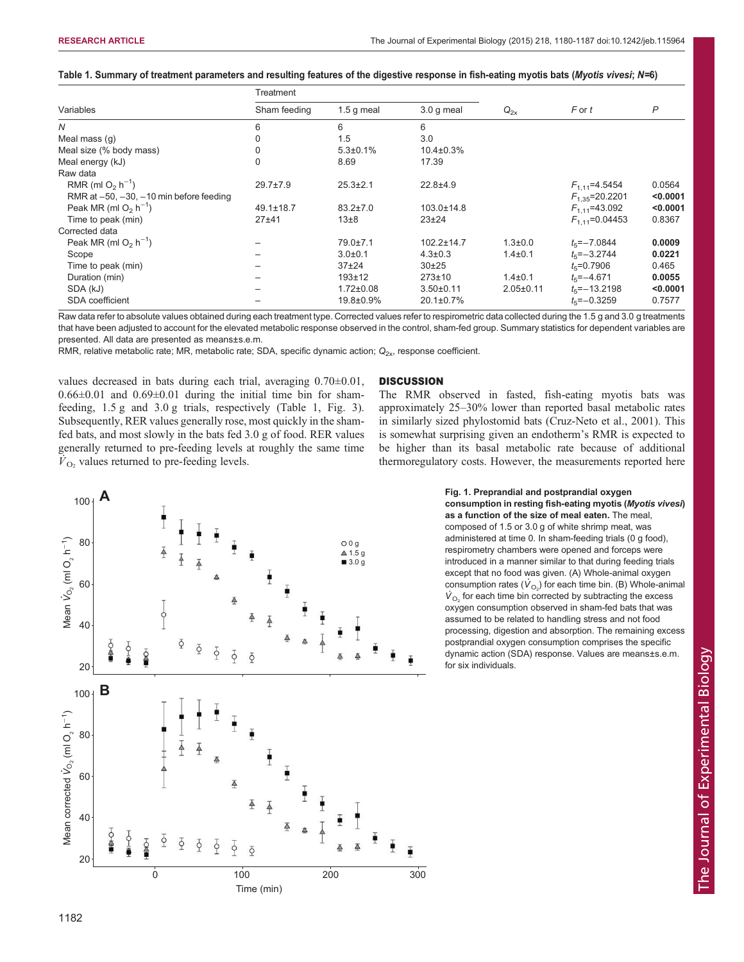<span id="page-2-0"></span>

|  | Table 1. Summary of treatment parameters and resulting features of the digestive response in fish-eating myotis bats (Myotis vivesi; N=6) |  |  |  |  |  |  |  |
|--|-------------------------------------------------------------------------------------------------------------------------------------------|--|--|--|--|--|--|--|
|--|-------------------------------------------------------------------------------------------------------------------------------------------|--|--|--|--|--|--|--|

|                                                 | Treatment       |                 |                  |                 |                       |          |
|-------------------------------------------------|-----------------|-----------------|------------------|-----------------|-----------------------|----------|
| Variables                                       | Sham feeding    | $1.5$ q meal    | $3.0q$ meal      | $Q_{2x}$        | F or t                | P        |
| N                                               | 6               | 6               | 6                |                 |                       |          |
| Meal mass (q)                                   |                 | 1.5             | 3.0              |                 |                       |          |
| Meal size (% body mass)                         |                 | $5.3 \pm 0.1\%$ | $10.4 \pm 0.3\%$ |                 |                       |          |
| Meal energy (kJ)                                |                 | 8.69            | 17.39            |                 |                       |          |
| Raw data                                        |                 |                 |                  |                 |                       |          |
| RMR (ml $O_2$ h <sup>-1</sup> )                 | $29.7 \pm 7.9$  | $25.3 \pm 2.1$  | $22.8 + 4.9$     |                 | $F_{1,11}$ =4.5454    | 0.0564   |
| RMR at $-50$ , $-30$ , $-10$ min before feeding |                 |                 |                  |                 | $F_{1.35}$ =20.2201   | < 0.0001 |
| Peak MR (ml $O2$ h <sup>-1</sup> )              | $49.1 \pm 18.7$ | $83.2 \pm 7.0$  | $103.0 \pm 14.8$ |                 | $F_{1,11}$ =43.092    | < 0.0001 |
| Time to peak (min)                              | $27 + 41$       | $13\pm8$        | $23 + 24$        |                 | $F_{1,11}$ =0.04453   | 0.8367   |
| Corrected data                                  |                 |                 |                  |                 |                       |          |
| Peak MR (ml $O2$ h <sup>-1</sup> )              |                 | $79.0 \pm 7.1$  | $102.2 \pm 14.7$ | $1.3 \pm 0.0$   | $t_{5} = -7.0844$     | 0.0009   |
| Scope                                           |                 | $3.0 + 0.1$     | $4.3 \pm 0.3$    | $1.4 \pm 0.1$   | $t_{5} = -3.2744$     | 0.0221   |
| Time to peak (min)                              |                 | $37+24$         | $30+25$          |                 | $t_{\rm s}$ =0.7906   | 0.465    |
| Duration (min)                                  |                 | $193 + 12$      | $273 \pm 10$     | $1.4 \pm 0.1$   | $t_{5} = -4.671$      | 0.0055   |
| SDA (kJ)                                        |                 | $1.72 \pm 0.08$ | $3.50 + 0.11$    | $2.05 \pm 0.11$ | $t_{5}$ = -13.2198    | < 0.0001 |
| <b>SDA</b> coefficient                          |                 | 19.8±0.9%       | $20.1 \pm 0.7\%$ |                 | $t_{\rm s} = -0.3259$ | 0.7577   |

Raw data refer to absolute values obtained during each treatment type. Corrected values refer to respirometric data collected during the 1.5 g and 3.0 g treatments that have been adjusted to account for the elevated metabolic response observed in the control, sham-fed group. Summary statistics for dependent variables are presented. All data are presented as means±s.e.m.

RMR, relative metabolic rate; MR, metabolic rate; SDA, specific dynamic action;  $Q_{2x}$ , response coefficient.

values decreased in bats during each trial, averaging 0.70±0.01,  $0.66\pm0.01$  and  $0.69\pm0.01$  during the initial time bin for shamfeeding, 1.5 g and 3.0 g trials, respectively (Table 1, [Fig. 3\)](#page-3-0). Subsequently, RER values generally rose, most quickly in the shamfed bats, and most slowly in the bats fed 3.0 g of food. RER values generally returned to pre-feeding levels at roughly the same time  $\dot{V}_{\text{O}_2}$  values returned to pre-feeding levels.

#### **DISCUSSION**

The RMR observed in fasted, fish-eating myotis bats was approximately 25–30% lower than reported basal metabolic rates in similarly sized phylostomid bats [\(Cruz-Neto et al., 2001\)](#page-6-0). This is somewhat surprising given an endotherm's RMR is expected to be higher than its basal metabolic rate because of additional thermoregulatory costs. However, the measurements reported here



consumption in resting fish-eating myotis (Myotis vivesi) as a function of the size of meal eaten. The meal, composed of 1.5 or 3.0 g of white shrimp meat, was administered at time 0. In sham-feeding trials (0 g food), respirometry chambers were opened and forceps were introduced in a manner similar to that during feeding trials except that no food was given. (A) Whole-animal oxygen consumption rates  $(\dot{V}_{O_2})$  for each time bin. (B) Whole-animal  $\dot{\boldsymbol{V}}_{\text{O}_2}$  for each time bin corrected by subtracting the excess oxygen consumption observed in sham-fed bats that was assumed to be related to handling stress and not food processing, digestion and absorption. The remaining excess postprandial oxygen consumption comprises the specific dynamic action (SDA) response. Values are means±s.e.m.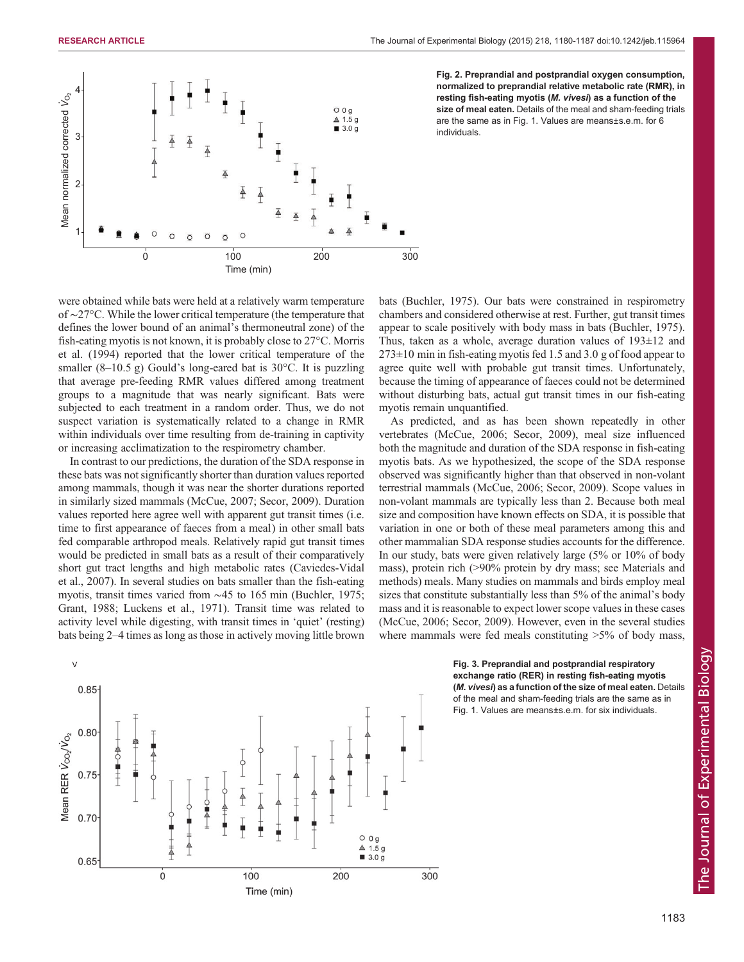<span id="page-3-0"></span>

Fig. 2. Preprandial and postprandial oxygen consumption, normalized to preprandial relative metabolic rate (RMR), in resting fish-eating myotis (M. vivesi) as a function of the size of meal eaten. Details of the meal and sham-feeding trials are the same as in Fig. 1. Values are means±s.e.m. for 6 individuals.

were obtained while bats were held at a relatively warm temperature of ∼27°C. While the lower critical temperature (the temperature that defines the lower bound of an animal's thermoneutral zone) of the fish-eating myotis is not known, it is probably close to 27°C. [Morris](#page-6-0) [et al. \(1994\)](#page-6-0) reported that the lower critical temperature of the smaller  $(8-10.5 \text{ g})$  Gould's long-eared bat is 30 $^{\circ}$ C. It is puzzling that average pre-feeding RMR values differed among treatment groups to a magnitude that was nearly significant. Bats were subjected to each treatment in a random order. Thus, we do not suspect variation is systematically related to a change in RMR within individuals over time resulting from de-training in captivity or increasing acclimatization to the respirometry chamber.

In contrast to our predictions, the duration of the SDA response in these bats was not significantly shorter than duration values reported among mammals, though it was near the shorter durations reported in similarly sized mammals [\(McCue, 2007; Secor, 2009\)](#page-6-0). Duration values reported here agree well with apparent gut transit times (i.e. time to first appearance of faeces from a meal) in other small bats fed comparable arthropod meals. Relatively rapid gut transit times would be predicted in small bats as a result of their comparatively short gut tract lengths and high metabolic rates ([Caviedes-Vidal](#page-6-0) [et al., 2007\)](#page-6-0). In several studies on bats smaller than the fish-eating myotis, transit times varied from ∼45 to 165 min [\(Buchler, 1975](#page-6-0); [Grant, 1988; Luckens et al., 1971\)](#page-6-0). Transit time was related to activity level while digesting, with transit times in 'quiet' (resting) bats being 2–4 times as long as those in actively moving little brown



bats [\(Buchler, 1975](#page-6-0)). Our bats were constrained in respirometry chambers and considered otherwise at rest. Further, gut transit times appear to scale positively with body mass in bats ([Buchler, 1975\)](#page-6-0). Thus, taken as a whole, average duration values of 193±12 and  $273\pm10$  min in fish-eating myotis fed 1.5 and 3.0 g of food appear to agree quite well with probable gut transit times. Unfortunately, because the timing of appearance of faeces could not be determined without disturbing bats, actual gut transit times in our fish-eating myotis remain unquantified.

As predicted, and as has been shown repeatedly in other vertebrates ([McCue, 2006](#page-6-0); [Secor, 2009\)](#page-6-0), meal size influenced both the magnitude and duration of the SDA response in fish-eating myotis bats. As we hypothesized, the scope of the SDA response observed was significantly higher than that observed in non-volant terrestrial mammals ([McCue, 2006; Secor, 2009\)](#page-6-0). Scope values in non-volant mammals are typically less than 2. Because both meal size and composition have known effects on SDA, it is possible that variation in one or both of these meal parameters among this and other mammalian SDA response studies accounts for the difference. In our study, bats were given relatively large (5% or 10% of body mass), protein rich (>90% protein by dry mass; see Materials and methods) meals. Many studies on mammals and birds employ meal sizes that constitute substantially less than 5% of the animal's body mass and it is reasonable to expect lower scope values in these cases [\(McCue, 2006; Secor, 2009\)](#page-6-0). However, even in the several studies where mammals were fed meals constituting  $>5\%$  of body mass,

> Fig. 3. Preprandial and postprandial respiratory exchange ratio (RER) in resting fish-eating myotis (M. vivesi) as a function of the size of meal eaten. Details of the meal and sham-feeding trials are the same as in Fig. 1. Values are means±s.e.m. for six individuals.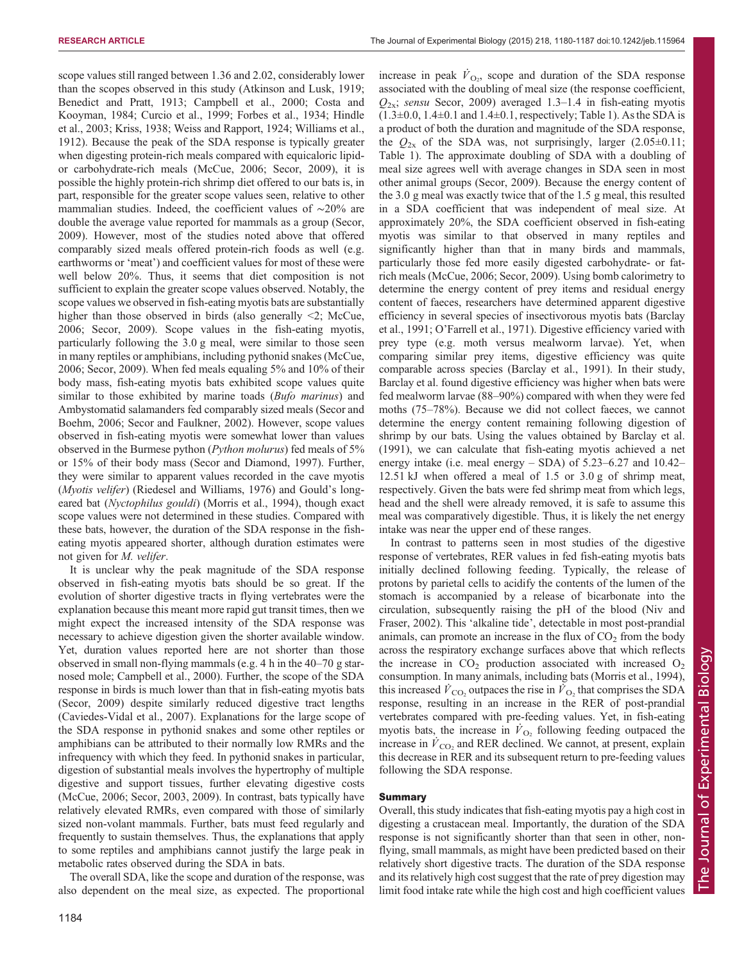RESEARCH ARTICLE **The Journal of Experimental Biology (2015)** 218, 1180-1187 doi:10.1242/jeb.115964

scope values still ranged between 1.36 and 2.02, considerably lower than the scopes observed in this study ([Atkinson and Lusk, 1919](#page-6-0); [Benedict and Pratt, 1913](#page-6-0); [Campbell et al., 2000; Costa and](#page-6-0) [Kooyman, 1984](#page-6-0); [Curcio et al., 1999](#page-6-0); [Forbes et al., 1934](#page-6-0); [Hindle](#page-6-0) [et al., 2003; Kriss, 1938](#page-6-0); [Weiss and Rapport, 1924](#page-7-0); [Williams et al.,](#page-7-0) [1912](#page-7-0)). Because the peak of the SDA response is typically greater when digesting protein-rich meals compared with equicaloric lipidor carbohydrate-rich meals ([McCue, 2006; Secor, 2009\)](#page-6-0), it is possible the highly protein-rich shrimp diet offered to our bats is, in part, responsible for the greater scope values seen, relative to other mammalian studies. Indeed, the coefficient values of ∼20% are double the average value reported for mammals as a group [\(Secor,](#page-6-0) [2009](#page-6-0)). However, most of the studies noted above that offered comparably sized meals offered protein-rich foods as well (e.g. earthworms or 'meat') and coefficient values for most of these were well below 20%. Thus, it seems that diet composition is not sufficient to explain the greater scope values observed. Notably, the scope values we observed in fish-eating myotis bats are substantially higher than those observed in birds (also generally  $\leq$ ); [McCue,](#page-6-0) [2006](#page-6-0); [Secor, 2009](#page-6-0)). Scope values in the fish-eating myotis, particularly following the 3.0 g meal, were similar to those seen in many reptiles or amphibians, including pythonid snakes ([McCue,](#page-6-0) [2006](#page-6-0); [Secor, 2009\)](#page-6-0). When fed meals equaling 5% and 10% of their body mass, fish-eating myotis bats exhibited scope values quite similar to those exhibited by marine toads (*Bufo marinus*) and Ambystomatid salamanders fed comparably sized meals ([Secor and](#page-6-0) [Boehm, 2006;](#page-6-0) [Secor and Faulkner, 2002\)](#page-7-0). However, scope values observed in fish-eating myotis were somewhat lower than values observed in the Burmese python (Python molurus) fed meals of 5% or 15% of their body mass ([Secor and Diamond, 1997](#page-7-0)). Further, they were similar to apparent values recorded in the cave myotis (Myotis velifer) ([Riedesel and Williams, 1976\)](#page-6-0) and Gould's longeared bat (Nyctophilus gouldi) ([Morris et al., 1994\)](#page-6-0), though exact scope values were not determined in these studies. Compared with these bats, however, the duration of the SDA response in the fisheating myotis appeared shorter, although duration estimates were not given for M. velifer.

It is unclear why the peak magnitude of the SDA response observed in fish-eating myotis bats should be so great. If the evolution of shorter digestive tracts in flying vertebrates were the explanation because this meant more rapid gut transit times, then we might expect the increased intensity of the SDA response was necessary to achieve digestion given the shorter available window. Yet, duration values reported here are not shorter than those observed in small non-flying mammals (e.g. 4 h in the 40–70 g starnosed mole; [Campbell et al., 2000](#page-6-0)). Further, the scope of the SDA response in birds is much lower than that in fish-eating myotis bats [\(Secor, 2009](#page-6-0)) despite similarly reduced digestive tract lengths [\(Caviedes-Vidal et al., 2007](#page-6-0)). Explanations for the large scope of the SDA response in pythonid snakes and some other reptiles or amphibians can be attributed to their normally low RMRs and the infrequency with which they feed. In pythonid snakes in particular, digestion of substantial meals involves the hypertrophy of multiple digestive and support tissues, further elevating digestive costs [\(McCue, 2006; Secor, 2003, 2009](#page-6-0)). In contrast, bats typically have relatively elevated RMRs, even compared with those of similarly sized non-volant mammals. Further, bats must feed regularly and frequently to sustain themselves. Thus, the explanations that apply to some reptiles and amphibians cannot justify the large peak in metabolic rates observed during the SDA in bats.

The overall SDA, like the scope and duration of the response, was also dependent on the meal size, as expected. The proportional

increase in peak  $\dot{V}_{\text{O}_2}$ , scope and duration of the SDA response associated with the doubling of meal size (the response coefficient,  $Q_{2x}$ ; sensu [Secor, 2009](#page-6-0)) averaged 1.3–1.4 in fish-eating myotis  $(1.3\pm0.0, 1.4\pm0.1$  and  $1.4\pm0.1$ , respectively; [Table 1\)](#page-2-0). As the SDA is a product of both the duration and magnitude of the SDA response, the  $Q_{2x}$  of the SDA was, not surprisingly, larger (2.05 $\pm$ 0.11; [Table 1\)](#page-2-0). The approximate doubling of SDA with a doubling of meal size agrees well with average changes in SDA seen in most other animal groups [\(Secor, 2009\)](#page-6-0). Because the energy content of the 3.0 g meal was exactly twice that of the 1.5 g meal, this resulted in a SDA coefficient that was independent of meal size. At approximately 20%, the SDA coefficient observed in fish-eating myotis was similar to that observed in many reptiles and significantly higher than that in many birds and mammals, particularly those fed more easily digested carbohydrate- or fatrich meals [\(McCue, 2006; Secor, 2009\)](#page-6-0). Using bomb calorimetry to determine the energy content of prey items and residual energy content of faeces, researchers have determined apparent digestive efficiency in several species of insectivorous myotis bats [\(Barclay](#page-6-0) [et al., 1991;](#page-6-0) O'[Farrell et al., 1971](#page-6-0)). Digestive efficiency varied with prey type (e.g. moth versus mealworm larvae). Yet, when comparing similar prey items, digestive efficiency was quite comparable across species [\(Barclay et al., 1991](#page-6-0)). In their study, Barclay et al. found digestive efficiency was higher when bats were fed mealworm larvae (88–90%) compared with when they were fed moths (75–78%). Because we did not collect faeces, we cannot determine the energy content remaining following digestion of shrimp by our bats. Using the values obtained by [Barclay et al.](#page-6-0) [\(1991](#page-6-0)), we can calculate that fish-eating myotis achieved a net energy intake (i.e. meal energy – SDA) of 5.23–6.27 and 10.42– 12.51 kJ when offered a meal of 1.5 or 3.0 g of shrimp meat, respectively. Given the bats were fed shrimp meat from which legs, head and the shell were already removed, it is safe to assume this meal was comparatively digestible. Thus, it is likely the net energy intake was near the upper end of these ranges.

In contrast to patterns seen in most studies of the digestive response of vertebrates, RER values in fed fish-eating myotis bats initially declined following feeding. Typically, the release of protons by parietal cells to acidify the contents of the lumen of the stomach is accompanied by a release of bicarbonate into the circulation, subsequently raising the pH of the blood ([Niv and](#page-6-0) [Fraser, 2002](#page-6-0)). This 'alkaline tide', detectable in most post-prandial animals, can promote an increase in the flux of  $CO<sub>2</sub>$  from the body across the respiratory exchange surfaces above that which reflects the increase in  $CO<sub>2</sub>$  production associated with increased  $O<sub>2</sub>$ consumption. In many animals, including bats ([Morris et al., 1994\)](#page-6-0), this increased  $\dot{V}_{\text{CO}_2}$  outpaces the rise in  $\dot{V}_{\text{O}_2}$  that comprises the SDA response, resulting in an increase in the RER of post-prandial vertebrates compared with pre-feeding values. Yet, in fish-eating myotis bats, the increase in  $\dot{V}_{\text{O}_2}$  following feeding outpaced the increase in  $\dot{V}_{\text{CO}_2}$  and RER declined. We cannot, at present, explain this decrease in RER and its subsequent return to pre-feeding values following the SDA response.

#### Summary

Overall, this study indicates that fish-eating myotis pay a high cost in digesting a crustacean meal. Importantly, the duration of the SDA response is not significantly shorter than that seen in other, nonflying, small mammals, as might have been predicted based on their relatively short digestive tracts. The duration of the SDA response and its relatively high cost suggest that the rate of prey digestion may limit food intake rate while the high cost and high coefficient values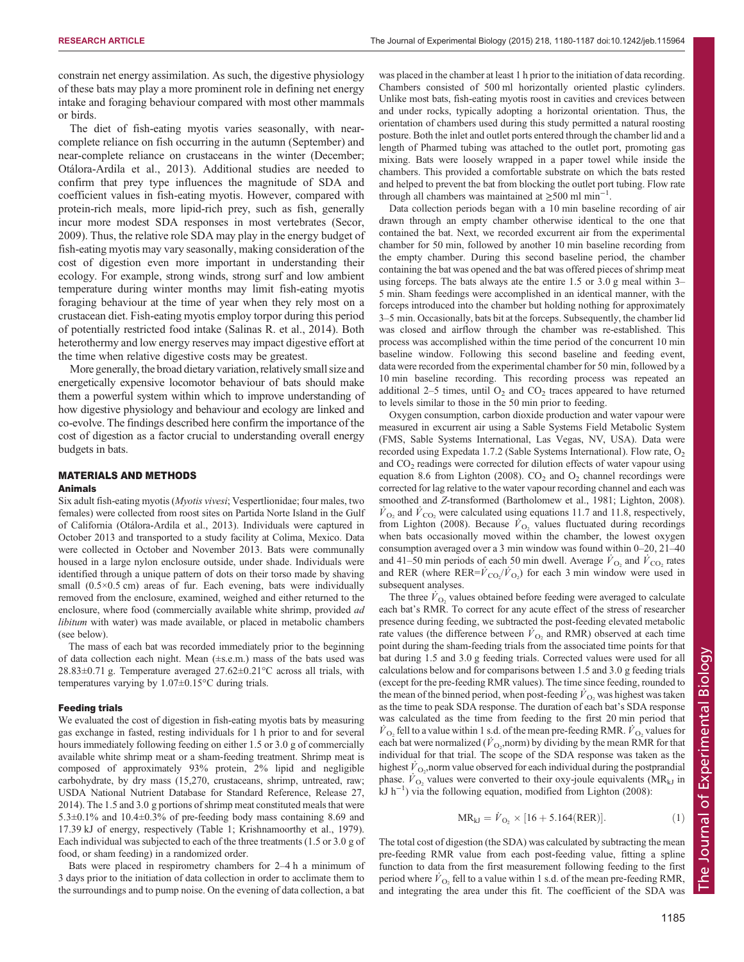constrain net energy assimilation. As such, the digestive physiology of these bats may play a more prominent role in defining net energy intake and foraging behaviour compared with most other mammals or birds.

The diet of fish-eating myotis varies seasonally, with nearcomplete reliance on fish occurring in the autumn (September) and near-complete reliance on crustaceans in the winter (December; [Otálora-Ardila et al., 2013](#page-6-0)). Additional studies are needed to confirm that prey type influences the magnitude of SDA and coefficient values in fish-eating myotis. However, compared with protein-rich meals, more lipid-rich prey, such as fish, generally incur more modest SDA responses in most vertebrates [\(Secor,](#page-6-0) [2009](#page-6-0)). Thus, the relative role SDA may play in the energy budget of fish-eating myotis may vary seasonally, making consideration of the cost of digestion even more important in understanding their ecology. For example, strong winds, strong surf and low ambient temperature during winter months may limit fish-eating myotis foraging behaviour at the time of year when they rely most on a crustacean diet. Fish-eating myotis employ torpor during this period of potentially restricted food intake [\(Salinas R. et al., 2014](#page-6-0)). Both heterothermy and low energy reserves may impact digestive effort at the time when relative digestive costs may be greatest.

More generally, the broad dietary variation, relatively small size and energetically expensive locomotor behaviour of bats should make them a powerful system within which to improve understanding of how digestive physiology and behaviour and ecology are linked and co-evolve. The findings described here confirm the importance of the cost of digestion as a factor crucial to understanding overall energy budgets in bats.

# MATERIALS AND METHODS

### Animals

Six adult fish-eating myotis (Myotis vivesi; Vespertlionidae; four males, two females) were collected from roost sites on Partida Norte Island in the Gulf of California ([Otálora-Ardila et al., 2013\)](#page-6-0). Individuals were captured in October 2013 and transported to a study facility at Colima, Mexico. Data were collected in October and November 2013. Bats were communally housed in a large nylon enclosure outside, under shade. Individuals were identified through a unique pattern of dots on their torso made by shaving small (0.5×0.5 cm) areas of fur. Each evening, bats were individually removed from the enclosure, examined, weighed and either returned to the enclosure, where food (commercially available white shrimp, provided ad libitum with water) was made available, or placed in metabolic chambers (see below).

The mass of each bat was recorded immediately prior to the beginning of data collection each night. Mean (±s.e.m.) mass of the bats used was  $28.83\pm0.71$  g. Temperature averaged  $27.62\pm0.21^{\circ}$ C across all trials, with temperatures varying by 1.07±0.15°C during trials.

#### Feeding trials

We evaluated the cost of digestion in fish-eating myotis bats by measuring gas exchange in fasted, resting individuals for 1 h prior to and for several hours immediately following feeding on either 1.5 or 3.0 g of commercially available white shrimp meat or a sham-feeding treatment. Shrimp meat is composed of approximately 93% protein, 2% lipid and negligible carbohydrate, by dry mass (15,270, crustaceans, shrimp, untreated, raw; [USDA National Nutrient Database for Standard Reference, Release 27,](#page-7-0) [2014](#page-7-0)). The 1.5 and 3.0 g portions of shrimp meat constituted meals that were 5.3±0.1% and 10.4±0.3% of pre-feeding body mass containing 8.69 and 17.39 kJ of energy, respectively ([Table 1](#page-2-0); [Krishnamoorthy et al., 1979](#page-6-0)). Each individual was subjected to each of the three treatments (1.5 or 3.0 g of food, or sham feeding) in a randomized order.

Bats were placed in respirometry chambers for 2–4 h a minimum of 3 days prior to the initiation of data collection in order to acclimate them to the surroundings and to pump noise. On the evening of data collection, a bat

was placed in the chamber at least 1 h prior to the initiation of data recording. Chambers consisted of 500 ml horizontally oriented plastic cylinders. Unlike most bats, fish-eating myotis roost in cavities and crevices between and under rocks, typically adopting a horizontal orientation. Thus, the orientation of chambers used during this study permitted a natural roosting posture. Both the inlet and outlet ports entered through the chamber lid and a length of Pharmed tubing was attached to the outlet port, promoting gas mixing. Bats were loosely wrapped in a paper towel while inside the chambers. This provided a comfortable substrate on which the bats rested and helped to prevent the bat from blocking the outlet port tubing. Flow rate through all chambers was maintained at  $\geq 500$  ml min<sup>-1</sup>.

Data collection periods began with a 10 min baseline recording of air drawn through an empty chamber otherwise identical to the one that contained the bat. Next, we recorded excurrent air from the experimental chamber for 50 min, followed by another 10 min baseline recording from the empty chamber. During this second baseline period, the chamber containing the bat was opened and the bat was offered pieces of shrimp meat using forceps. The bats always ate the entire 1.5 or 3.0 g meal within 3– 5 min. Sham feedings were accomplished in an identical manner, with the forceps introduced into the chamber but holding nothing for approximately 3–5 min. Occasionally, bats bit at the forceps. Subsequently, the chamber lid was closed and airflow through the chamber was re-established. This process was accomplished within the time period of the concurrent 10 min baseline window. Following this second baseline and feeding event, data were recorded from the experimental chamber for 50 min, followed by a 10 min baseline recording. This recording process was repeated an additional 2–5 times, until  $O_2$  and  $CO_2$  traces appeared to have returned to levels similar to those in the 50 min prior to feeding.

Oxygen consumption, carbon dioxide production and water vapour were measured in excurrent air using a Sable Systems Field Metabolic System (FMS, Sable Systems International, Las Vegas, NV, USA). Data were recorded using Expedata 1.7.2 (Sable Systems International). Flow rate,  $O_2$ and  $CO<sub>2</sub>$  readings were corrected for dilution effects of water vapour using equation 8.6 from [Lighton \(2008\)](#page-6-0).  $CO<sub>2</sub>$  and  $O<sub>2</sub>$  channel recordings were corrected for lag relative to the water vapour recording channel and each was smoothed and Z-transformed ([Bartholomew et al., 1981; Lighton, 2008](#page-6-0)).  $\dot{V}_{\text{O}_2}$  and  $\dot{V}_{\text{CO}_2}$  were calculated using equations 11.7 and 11.8, respectively, from [Lighton \(2008\)](#page-6-0). Because  $\dot{V}_{\text{O}_2}$  values fluctuated during recordings when bats occasionally moved within the chamber, the lowest oxygen consumption averaged over a 3 min window was found within 0–20, 21–40 and 41–50 min periods of each 50 min dwell. Average  $\dot{V}_{\text{O}_2}$  and  $\dot{V}_{\text{CO}_2}$  rates and RER (where  $RER = \vec{V}_{CO_2}/\vec{V}_{O_2}$ ) for each 3 min window were used in subsequent analyses.

The three  $\dot{V}_{\text{O}_2}$  values obtained before feeding were averaged to calculate each bat's RMR. To correct for any acute effect of the stress of researcher presence during feeding, we subtracted the post-feeding elevated metabolic rate values (the difference between  $\dot{V}_{\text{O}_2}$  and RMR) observed at each time point during the sham-feeding trials from the associated time points for that bat during 1.5 and 3.0 g feeding trials. Corrected values were used for all calculations below and for comparisons between 1.5 and 3.0 g feeding trials (except for the pre-feeding RMR values). The time since feeding, rounded to the mean of the binned period, when post-feeding  $\dot{V}_{\text{O}_2}$  was highest was taken as the time to peak SDA response. The duration of each bat's SDA response was calculated as the time from feeding to the first 20 min period that  $\dot{V}_{\text{O}_2}$  fell to a value within 1 s.d. of the mean pre-feeding RMR.  $\dot{V}_{\text{O}_2}$  values for each bat were normalized ( $\dot{V}_{\text{O}_2}$ , norm) by dividing by the mean RMR for that individual for that trial. The scope of the SDA response was taken as the highest  $\dot{V}_{\text{O}_2}$ , norm value observed for each individual during the postprandial phase.  $\hat{V}_{\text{O}_2}$  values were converted to their oxy-joule equivalents (MR<sub>kJ</sub> in kJ h−<sup>1</sup> ) via the following equation, modified from [Lighton \(2008\)](#page-6-0):

$$
MR_{kJ} = \dot{V}_{O_2} \times [16 + 5.164(\text{RER})]. \tag{1}
$$

The total cost of digestion (the SDA) was calculated by subtracting the mean pre-feeding RMR value from each post-feeding value, fitting a spline function to data from the first measurement following feeding to the first period where  $\dot{V}_{\Omega}$ , fell to a value within 1 s.d. of the mean pre-feeding RMR, and integrating the area under this fit. The coefficient of the SDA was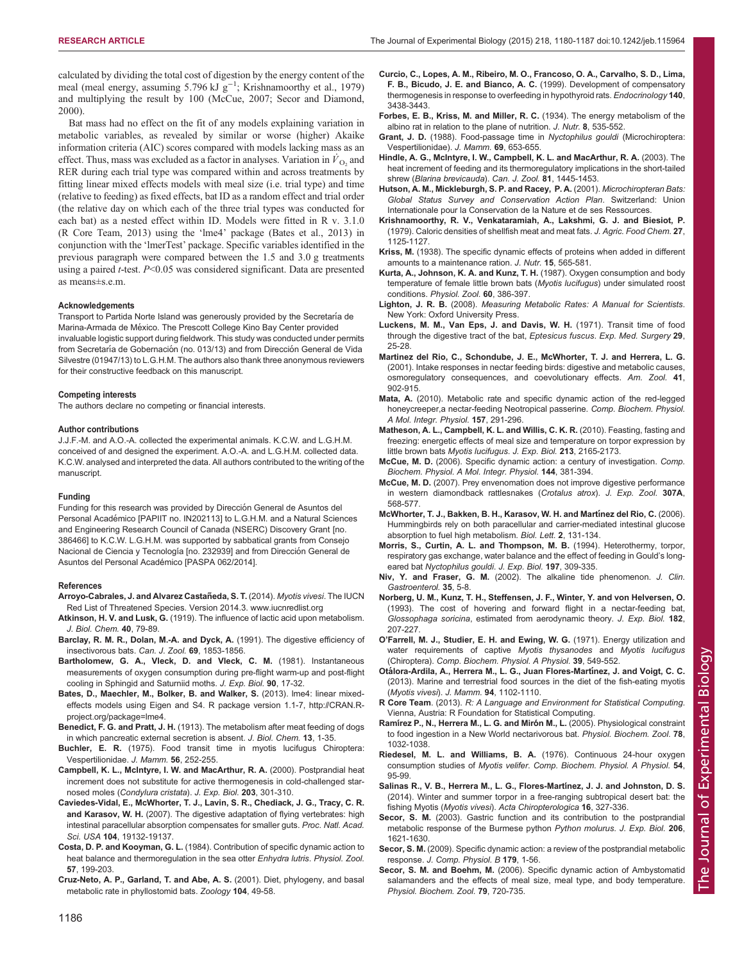<span id="page-6-0"></span>calculated by dividing the total cost of digestion by the energy content of the meal (meal energy, assuming 5.796 kJ g<sup>-1</sup>; Krishnamoorthy et al., 1979) and multiplying the result by 100 (McCue, 2007; [Secor and Diamond,](#page-7-0) [2000](#page-7-0)).

Bat mass had no effect on the fit of any models explaining variation in metabolic variables, as revealed by similar or worse (higher) Akaike information criteria (AIC) scores compared with models lacking mass as an effect. Thus, mass was excluded as a factor in analyses. Variation in  $\dot{V}_{\Omega}$  and RER during each trial type was compared within and across treatments by fitting linear mixed effects models with meal size (i.e. trial type) and time (relative to feeding) as fixed effects, bat ID as a random effect and trial order (the relative day on which each of the three trial types was conducted for each bat) as a nested effect within ID. Models were fitted in R v. 3.1.0 (R Core Team, 2013) using the 'lme4' package (Bates et al., 2013) in conjunction with the 'lmerTest' package. Specific variables identified in the previous paragraph were compared between the 1.5 and 3.0 g treatments using a paired t-test. P<0.05 was considered significant. Data are presented as means±s.e.m.

#### Acknowledgements

Transport to Partida Norte Island was generously provided by the Secretaría de Marina-Armada de México. The Prescott College Kino Bay Center provided invaluable logistic support during fieldwork. This study was conducted under permits from Secretaría de Gobernación (no. 013/13) and from Dirección General de Vida Silvestre (01947/13) to L.G.H.M. The authors also thank three anonymous reviewers for their constructive feedback on this manuscript.

#### Competing interests

The authors declare no competing or financial interests.

#### Author contributions

J.J.F.-M. and A.O.-A. collected the experimental animals. K.C.W. and L.G.H.M. conceived of and designed the experiment. A.O.-A. and L.G.H.M. collected data. K.C.W. analysed and interpreted the data. All authors contributed to the writing of the manuscript.

#### Funding

Funding for this research was provided by Dirección General de Asuntos del Personal Académico [PAPIIT no. IN202113] to L.G.H.M. and a Natural Sciences and Engineering Research Council of Canada (NSERC) Discovery Grant [no. 386466] to K.C.W. L.G.H.M. was supported by sabbatical grants from Consejo Nacional de Ciencia y Tecnología [no. 232939] and from Dirección General de Asuntos del Personal Académico [PASPA 062/2014].

#### References

- **Arroyo-Cabrales, J. and Alvarez Castañeda, S. T.** (2014). *Myotis vivesi*. The IUCN Red List of Threatened Species. Version 2014.3. [www.iucnredlist.org](http://www.iucnredlist.org)
- Atkinson, H. V. and Lusk, G. (1919). The influence of lactic acid upon metabolism. J. Biol. Chem. 40, 79-89.
- [Barclay, R. M. R., Dolan, M.-A. and Dyck, A.](http://dx.doi.org/10.1139/z91-256) (1991). The digestive efficiency of [insectivorous bats.](http://dx.doi.org/10.1139/z91-256) Can. J. Zool. 69, 1853-1856.
- Bartholomew, G. A., Vleck, D. and Vleck, C. M. (1981). Instantaneous measurements of oxygen consumption during pre-flight warm-up and post-flight cooling in Sphingid and Saturniid moths. J. Exp. Biol. 90, 17-32.
- Bates, D., Maechler, M., Bolker, B. and Walker, S. (2013). lme4: linear mixedeffects models using Eigen and S4. R package version 1.1-7, [http://CRAN.R](http://CRAN.R-project.org/package=lme4)[project.org/package=lme4.](http://CRAN.R-project.org/package=lme4)
- Benedict, F. G. and Pratt, J. H. (1913). The metabolism after meat feeding of dogs in which pancreatic external secretion is absent. J. Biol. Chem. 13, 1-35.
- Buchler, E. R. [\(1975\). Food transit time in myotis lucifugus Chiroptera:](http://dx.doi.org/10.2307/1379630) [Vespertilionidae.](http://dx.doi.org/10.2307/1379630) J. Mamm. 56, 252-255.
- Campbell, K. L., McIntyre, I. W. and MacArthur, R. A. (2000). Postprandial heat increment does not substitute for active thermogenesis in cold-challenged starnosed moles (Condylura cristata). J. Exp. Biol. 203, 301-310.
- [Caviedes-Vidal, E., McWhorter, T. J., Lavin, S. R., Chediack, J. G., Tracy, C. R.](http://dx.doi.org/10.1073/pnas.0703159104) and Karasov, W. H. [\(2007\). The digestive adaptation of flying vertebrates: high](http://dx.doi.org/10.1073/pnas.0703159104) [intestinal paracellular absorption compensates for smaller guts.](http://dx.doi.org/10.1073/pnas.0703159104) Proc. Natl. Acad. Sci. USA 104[, 19132-19137.](http://dx.doi.org/10.1073/pnas.0703159104)
- Costa, D. P. and Kooyman, G. L. (1984). Contribution of specific dynamic action to heat balance and thermoregulation in the sea otter Enhydra lutris. Physiol. Zool. 57, 199-203.
- [Cruz-Neto, A. P., Garland, T. and Abe, A. S.](http://dx.doi.org/10.1078/0944-2006-00006) (2001). Diet, phylogeny, and basal [metabolic rate in phyllostomid bats.](http://dx.doi.org/10.1078/0944-2006-00006) Zoology 104, 49-58.
- Curcio, C., Lopes, A. M., Ribeiro, M. O., Francoso, O. A., Carvalho, S. D., Lima, F. B., Bicudo, J. E. and Bianco, A. C. (1999). Development of compensatory thermogenesis in response to overfeeding in hypothyroid rats. Endocrinology 140, 3438-3443.
- Forbes, E. B., Kriss, M. and Miller, R. C. (1934). The energy metabolism of the albino rat in relation to the plane of nutrition. J. Nutr. 8, 535-552.
- Grant, J. D. [\(1988\). Food-passage time in](http://dx.doi.org/10.2307/1381367) Nyctophilus gouldi (Microchiroptera: [Vespertilionidae\).](http://dx.doi.org/10.2307/1381367) J. Mamm. 69, 653-655.
- [Hindle, A. G., McIntyre, I. W., Campbell, K. L. and MacArthur, R. A.](http://dx.doi.org/10.1139/z03-137) (2003). The [heat increment of feeding and its thermoregulatory implications in the short-tailed](http://dx.doi.org/10.1139/z03-137) shrew ([Blarina brevicauda](http://dx.doi.org/10.1139/z03-137)). Can. J. Zool. 81, 1445-1453.
- Hutson, A. M., Mickleburgh, S. P. and Racey, P. A. (2001). Microchiropteran Bats: Global Status Survey and Conservation Action Plan. Switzerland: Union Internationale pour la Conservation de la Nature et de ses Ressources.
- [Krishnamoorthy, R. V., Venkataramiah, A., Lakshmi, G. J. and Biesiot, P.](http://dx.doi.org/10.1021/jf60225a034) [\(1979\). Caloric densities of shellfish meat and meat fats.](http://dx.doi.org/10.1021/jf60225a034) J. Agric. Food Chem. 27, [1125-1127.](http://dx.doi.org/10.1021/jf60225a034)
- Kriss, M. (1938). The specific dynamic effects of proteins when added in different amounts to a maintenance ration. J. Nutr. 15, 565-581.
- Kurta, A., Johnson, K. A. and Kunz, T. H. (1987). Oxygen consumption and body temperature of female little brown bats (Myotis lucifugus) under simulated roost conditions. Physiol. Zool. 60, 386-397.
- Lighton, J. R. B. (2008). Measuring Metabolic Rates: A Manual for Scientists. New York: Oxford University Press.
- Luckens, M. M., Van Eps, J. and Davis, W. H. (1971). Transit time of food through the digestive tract of the bat, Eptesicus fuscus. Exp. Med. Surgery 29, 25-28.
- [Martinez del Rio, C., Schondube, J. E., McWhorter, T. J. and Herrera, L. G.](http://dx.doi.org/10.1668/0003-1569(2001)041[0902:IRINFB]2.0.CO;2) [\(2001\). Intake responses in nectar feeding birds: digestive and metabolic causes,](http://dx.doi.org/10.1668/0003-1569(2001)041[0902:IRINFB]2.0.CO;2) [osmoregulatory consequences, and coevolutionary effects.](http://dx.doi.org/10.1668/0003-1569(2001)041[0902:IRINFB]2.0.CO;2) Am. Zool. 41, [902-915.](http://dx.doi.org/10.1668/0003-1569(2001)041[0902:IRINFB]2.0.CO;2)
- Mata, A. [\(2010\). Metabolic rate and specific dynamic action of the red-legged](http://dx.doi.org/10.1016/j.cbpa.2010.07.018) [honeycreeper,a nectar-feeding Neotropical passerine.](http://dx.doi.org/10.1016/j.cbpa.2010.07.018) Comp. Biochem. Physiol. [A Mol. Integr. Physiol.](http://dx.doi.org/10.1016/j.cbpa.2010.07.018) 157, 291-296.
- [Matheson, A. L., Campbell, K. L. and Willis, C. K. R.](http://dx.doi.org/10.1242/jeb.040188) (2010). Feasting, fasting and [freezing: energetic effects of meal size and temperature on torpor expression by](http://dx.doi.org/10.1242/jeb.040188) little brown bats [Myotis lucifugus](http://dx.doi.org/10.1242/jeb.040188). J. Exp. Biol. 213, 2165-2173.
- McCue, M. D. [\(2006\). Specific dynamic action: a century of investigation.](http://dx.doi.org/10.1016/j.cbpa.2006.03.011) Comp. [Biochem. Physiol. A Mol. Integr. Physiol.](http://dx.doi.org/10.1016/j.cbpa.2006.03.011) 144, 381-394.
- McCue, M. D. [\(2007\). Prey envenomation does not improve digestive performance](http://dx.doi.org/10.1002/jez.411) [in western diamondback rattlesnakes \(](http://dx.doi.org/10.1002/jez.411)Crotalus atrox). J. Exp. Zool. 307A, [568-577.](http://dx.doi.org/10.1002/jez.411)
- [McWhorter, T. J., Bakken, B. H., Karasov, W. H. and Mart](http://dx.doi.org/10.1098/rsbl.2005.0388)ínez del Rio, C. (2006). [Hummingbirds rely on both paracellular and carrier-mediated intestinal glucose](http://dx.doi.org/10.1098/rsbl.2005.0388) [absorption to fuel high metabolism.](http://dx.doi.org/10.1098/rsbl.2005.0388) Biol. Lett. 2, 131-134.
- Morris, S., Curtin, A. L. and Thompson, M. B. (1994). Heterothermy, torpor, respiratory gas exchange, water balance and the effect of feeding in Gould's longeared bat Nyctophilus gouldi. J. Exp. Biol. 197, 309-335.
- Niv, Y. and Fraser, G. M. [\(2002\). The alkaline tide phenomenon.](http://dx.doi.org/10.1097/00004836-200207000-00003) J. Clin. [Gastroenterol.](http://dx.doi.org/10.1097/00004836-200207000-00003) 35, 5-8.
- Norberg, U. M., Kunz, T. H., Steffensen, J. F., Winter, Y. and von Helversen, O. (1993). The cost of hovering and forward flight in a nectar-feeding bat, Glossophaga soricina, estimated from aerodynamic theory. J. Exp. Biol. 182, 207-227.
- O'[Farrell, M. J., Studier, E. H. and Ewing, W. G.](http://dx.doi.org/10.1016/0300-9629(71)90318-5) (1971). Energy utilization and [water requirements of captive](http://dx.doi.org/10.1016/0300-9629(71)90318-5) Myotis thysanodes and Myotis lucifugus (Chiroptera). [Comp. Biochem. Physiol. A Physiol.](http://dx.doi.org/10.1016/0300-9629(71)90318-5) 39, 549-552.
- Otá[lora-Ardila, A., Herrera M., L. G., Juan Flores-Mart](http://dx.doi.org/10.1644/12-MAMM-A-281.1)ínez, J. and Voigt, C. C. [\(2013\). Marine and terrestrial food sources in the diet of the fish-eating myotis](http://dx.doi.org/10.1644/12-MAMM-A-281.1) ([Myotis vivesi](http://dx.doi.org/10.1644/12-MAMM-A-281.1)). J. Mamm. 94, 1102-1110.
- R Core Team. (2013). R: A Language and Environment for Statistical Computing. Vienna, Austria: R Foundation for Statistical Computing.
- Ramírez P., N., Herrera M., L. G. and Mirón M., L. (2005). Physiological constraint [to food ingestion in a New World nectarivorous bat.](http://dx.doi.org/10.1086/432921) Physiol. Biochem. Zool. 78, [1032-1038.](http://dx.doi.org/10.1086/432921)
- [Riedesel, M. L. and Williams, B. A.](http://dx.doi.org/10.1016/S0300-9629(76)80076-X) (1976). Continuous 24-hour oxygen consumption studies of Myotis velifer. [Comp. Biochem. Physiol. A Physiol.](http://dx.doi.org/10.1016/S0300-9629(76)80076-X) 54, [95-99.](http://dx.doi.org/10.1016/S0300-9629(76)80076-X)
- [Salinas R., V. B., Herrera M., L. G., Flores-Mart](http://dx.doi.org/10.3161/150811014X687288)ínez, J. J. and Johnston, D. S. [\(2014\). Winter and summer torpor in a free-ranging subtropical desert bat: the](http://dx.doi.org/10.3161/150811014X687288) fishing Myotis (Myotis vivesi). [Acta Chiropterologica](http://dx.doi.org/10.3161/150811014X687288) 16, 327-336.
- Secor, S. M. [\(2003\). Gastric function and its contribution to the postprandial](http://dx.doi.org/10.1242/jeb.00300) [metabolic response of the Burmese python](http://dx.doi.org/10.1242/jeb.00300) Python molurus. J. Exp. Biol. 206, [1621-1630.](http://dx.doi.org/10.1242/jeb.00300)
- Secor, S. M. [\(2009\). Specific dynamic action: a review of the postprandial metabolic](http://dx.doi.org/10.1007/s00360-008-0283-7) response. [J. Comp. Physiol. B](http://dx.doi.org/10.1007/s00360-008-0283-7) 179, 1-56.
- Secor, S. M. and Boehm, M. [\(2006\). Specific dynamic action of Ambystomatid](http://dx.doi.org/10.1086/505511) [salamanders and the effects of meal size, meal type, and body temperature.](http://dx.doi.org/10.1086/505511) [Physiol. Biochem. Zool.](http://dx.doi.org/10.1086/505511) 79, 720-735.